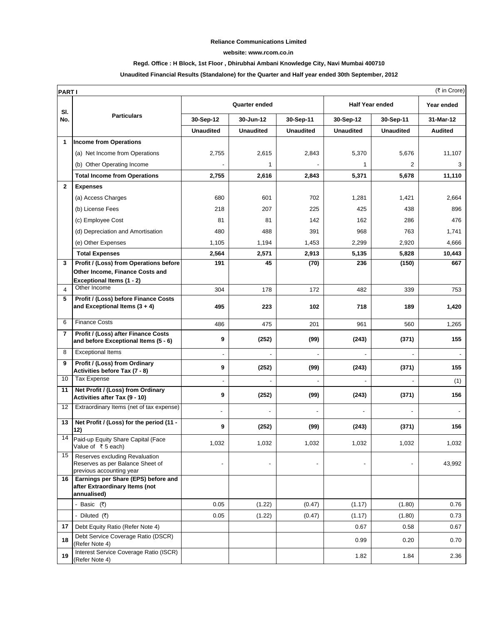#### **Reliance Communications Limited**

#### **website: www.rcom.co.in**

## **Regd. Office : H Block, 1st Floor , Dhirubhai Ambani Knowledge City, Navi Mumbai 400710**

## **Unaudited Financial Results (Standalone) for the Quarter and Half year ended 30th September, 2012**

|                | (₹ in Crore)<br><b>PARTI</b>                                                                   |                          |                  |                  |                          |                  |                |  |
|----------------|------------------------------------------------------------------------------------------------|--------------------------|------------------|------------------|--------------------------|------------------|----------------|--|
| SI.            | <b>Particulars</b>                                                                             | <b>Quarter ended</b>     |                  |                  | <b>Half Year ended</b>   |                  | Year ended     |  |
| No.            |                                                                                                | 30-Sep-12                | 30-Jun-12        | 30-Sep-11        | 30-Sep-12                | 30-Sep-11        | 31-Mar-12      |  |
|                |                                                                                                | <b>Unaudited</b>         | <b>Unaudited</b> | <b>Unaudited</b> | <b>Unaudited</b>         | <b>Unaudited</b> | <b>Audited</b> |  |
| 1              | <b>Income from Operations</b>                                                                  |                          |                  |                  |                          |                  |                |  |
|                | (a) Net Income from Operations                                                                 | 2,755                    | 2,615            | 2,843            | 5,370                    | 5,676            | 11,107         |  |
|                | (b) Other Operating Income                                                                     |                          | 1                |                  | 1                        | 2                | 3              |  |
|                | <b>Total Income from Operations</b>                                                            | 2,755                    | 2,616            | 2,843            | 5,371                    | 5,678            | 11,110         |  |
| $\mathbf{2}$   | <b>Expenses</b>                                                                                |                          |                  |                  |                          |                  |                |  |
|                | (a) Access Charges                                                                             | 680                      | 601              | 702              | 1,281                    | 1,421            | 2,664          |  |
|                | (b) License Fees                                                                               | 218                      | 207              | 225              | 425                      | 438              | 896            |  |
|                | (c) Employee Cost                                                                              | 81                       | 81               | 142              | 162                      | 286              | 476            |  |
|                | (d) Depreciation and Amortisation                                                              | 480                      | 488              | 391              | 968                      | 763              | 1,741          |  |
|                | (e) Other Expenses                                                                             | 1,105                    | 1,194            | 1,453            | 2,299                    | 2,920            | 4,666          |  |
|                | <b>Total Expenses</b>                                                                          | 2,564                    | 2,571            | 2,913            | 5,135                    | 5,828            | 10,443         |  |
| 3              | Profit / (Loss) from Operations before                                                         | 191                      | 45               | (70)             | 236                      | (150)            | 667            |  |
|                | Other Income, Finance Costs and<br>Exceptional Items (1 - 2)                                   |                          |                  |                  |                          |                  |                |  |
| $\overline{4}$ | Other Income                                                                                   | 304                      | 178              | 172              | 482                      | 339              | 753            |  |
| 5              | Profit / (Loss) before Finance Costs<br>and Exceptional Items $(3 + 4)$                        | 495                      | 223              | 102              | 718                      | 189              | 1,420          |  |
|                |                                                                                                |                          |                  |                  |                          |                  |                |  |
| 6              | <b>Finance Costs</b>                                                                           | 486                      | 475              | 201              | 961                      | 560              | 1,265          |  |
| $\overline{7}$ | Profit / (Loss) after Finance Costs<br>and before Exceptional Items (5 - 6)                    | 9                        | (252)            | (99)             | (243)                    | (371)            | 155            |  |
| 8              | <b>Exceptional Items</b>                                                                       | $\frac{1}{2}$            |                  |                  | $\overline{a}$           |                  |                |  |
| 9              | Profit / (Loss) from Ordinary<br>Activities before Tax (7 - 8)                                 | 9                        | (252)            | (99)             | (243)                    | (371)            | 155            |  |
| 10             | <b>Tax Expense</b>                                                                             | $\overline{a}$           |                  |                  |                          |                  | (1)            |  |
| 11             | Net Profit / (Loss) from Ordinary<br>Activities after Tax (9 - 10)                             | 9                        | (252)            | (99)             | (243)                    | (371)            | 156            |  |
| 12             | Extraordinary Items (net of tax expense)                                                       | $\overline{a}$           |                  |                  | $\overline{\phantom{0}}$ |                  |                |  |
| 13             | Net Profit / (Loss) for the period (11 -<br>12)                                                | 9                        | (252)            | (99)             | (243)                    | (371)            | 156            |  |
|                | 14 Paid-up Equity Share Capital (Face<br>Value of ₹5 each)                                     | 1,032                    | 1,032            | 1,032            | 1,032                    | 1,032            | 1,032          |  |
| 15             | Reserves excluding Revaluation<br>Reserves as per Balance Sheet of<br>previous accounting year | $\overline{\phantom{a}}$ |                  |                  | $\overline{\phantom{a}}$ |                  | 43,992         |  |
| 16             | Earnings per Share (EPS) before and<br>after Extraordinary Items (not<br>annualised)           |                          |                  |                  |                          |                  |                |  |
|                | - Basic (₹)                                                                                    | 0.05                     | (1.22)           | (0.47)           | (1.17)                   | (1.80)           | 0.76           |  |
|                | - Diluted $(3)$                                                                                | 0.05                     | (1.22)           | (0.47)           | (1.17)                   | (1.80)           | 0.73           |  |
| 17             | Debt Equity Ratio (Refer Note 4)                                                               |                          |                  |                  | 0.67                     | 0.58             | 0.67           |  |
| 18             | Debt Service Coverage Ratio (DSCR)<br>(Refer Note 4)                                           |                          |                  |                  | 0.99                     | 0.20             | 0.70           |  |
| 19             | Interest Service Coverage Ratio (ISCR)<br>(Refer Note 4)                                       |                          |                  |                  | 1.82                     | 1.84             | 2.36           |  |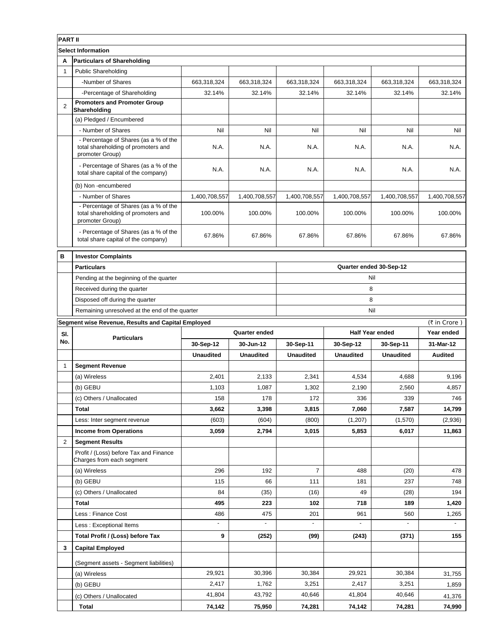| <b>PART II</b>            |                                                                                                 |                  |                  |                         |                        |                  |               |  |
|---------------------------|-------------------------------------------------------------------------------------------------|------------------|------------------|-------------------------|------------------------|------------------|---------------|--|
| <b>Select Information</b> |                                                                                                 |                  |                  |                         |                        |                  |               |  |
| A                         | <b>Particulars of Shareholding</b>                                                              |                  |                  |                         |                        |                  |               |  |
| 1                         | <b>Public Shareholding</b>                                                                      |                  |                  |                         |                        |                  |               |  |
|                           | -Number of Shares                                                                               | 663,318,324      | 663,318,324      | 663,318,324             | 663,318,324            | 663,318,324      | 663,318,324   |  |
|                           | -Percentage of Shareholding                                                                     | 32.14%           | 32.14%           | 32.14%                  | 32.14%                 | 32.14%           | 32.14%        |  |
| $\overline{2}$            | <b>Promoters and Promoter Group</b><br>Shareholding                                             |                  |                  |                         |                        |                  |               |  |
|                           | (a) Pledged / Encumbered                                                                        |                  |                  |                         |                        |                  |               |  |
|                           | - Number of Shares                                                                              | Nil              | Nil              | Nil                     | Nil                    | Nil              | Nil           |  |
|                           | - Percentage of Shares (as a % of the<br>total shareholding of promoters and<br>promoter Group) | N.A.             | N.A.             | N.A.                    | N.A.                   | N.A.             | N.A.          |  |
|                           | - Percentage of Shares (as a % of the<br>total share capital of the company)                    | N.A.             | N.A.             | N.A.                    | N.A.                   | N.A.             | N.A.          |  |
|                           | (b) Non -encumbered                                                                             |                  |                  |                         |                        |                  |               |  |
|                           | - Number of Shares                                                                              | 1,400,708,557    | 1,400,708,557    | 1,400,708,557           | 1,400,708,557          | 1,400,708,557    | 1,400,708,557 |  |
|                           | - Percentage of Shares (as a % of the<br>total shareholding of promoters and<br>promoter Group) | 100.00%          | 100.00%          | 100.00%                 | 100.00%                | 100.00%          | 100.00%       |  |
|                           | - Percentage of Shares (as a % of the<br>total share capital of the company)                    | 67.86%           | 67.86%           | 67.86%                  | 67.86%                 | 67.86%           | 67.86%        |  |
| B                         | <b>Investor Complaints</b>                                                                      |                  |                  |                         |                        |                  |               |  |
|                           | <b>Particulars</b>                                                                              |                  |                  | Quarter ended 30-Sep-12 |                        |                  |               |  |
|                           | Pending at the beginning of the quarter                                                         |                  |                  | Nil                     |                        |                  |               |  |
|                           | Received during the quarter                                                                     |                  |                  | 8                       |                        |                  |               |  |
|                           | Disposed off during the quarter                                                                 |                  |                  | 8                       |                        |                  |               |  |
|                           | Remaining unresolved at the end of the quarter                                                  |                  |                  | Nil                     |                        |                  |               |  |
|                           | Segment wise Revenue, Results and Capital Employed                                              | (₹ in Crore)     |                  |                         |                        |                  |               |  |
|                           |                                                                                                 |                  |                  |                         |                        |                  |               |  |
| SI.                       |                                                                                                 |                  | Quarter ended    |                         | <b>Half Year ended</b> |                  | Year ended    |  |
| No.                       | <b>Particulars</b>                                                                              | 30-Sep-12        | 30-Jun-12        | 30-Sep-11               | 30-Sep-12              | 30-Sep-11        | 31-Mar-12     |  |
|                           |                                                                                                 | <b>Unaudited</b> | <b>Unaudited</b> | <b>Unaudited</b>        | <b>Unaudited</b>       | <b>Unaudited</b> | Audited       |  |
| 1                         | <b>Segment Revenue</b>                                                                          |                  |                  |                         |                        |                  |               |  |
|                           | (a) Wireless                                                                                    | 2,401            | 2,133            | 2,341                   | 4,534                  | 4,688            | 9,196         |  |
|                           | (b) GEBU                                                                                        | 1,103            | 1,087            | 1,302                   | 2,190                  | 2,560            | 4,857         |  |
|                           | (c) Others / Unallocated                                                                        | 158              | 178              | 172                     | 336                    | 339              | 746           |  |
|                           | <b>Total</b>                                                                                    | 3,662            | 3,398            | 3,815                   | 7,060                  | 7,587            | 14,799        |  |
|                           | Less: Inter segment revenue                                                                     | (603)            | (604)            | (800)                   | (1,207)                | (1,570)          | (2,936)       |  |
|                           | <b>Income from Operations</b>                                                                   | 3,059            | 2.794            | 3,015                   | 5,853                  | 6,017            | 11,863        |  |
| $\overline{2}$            | <b>Segment Results</b>                                                                          |                  |                  |                         |                        |                  |               |  |
|                           | Profit / (Loss) before Tax and Finance<br>Charges from each segment                             |                  |                  |                         |                        |                  |               |  |
|                           | (a) Wireless                                                                                    | 296              | 192              | $\overline{7}$          | 488                    | (20)             | 478           |  |
|                           | (b) GEBU                                                                                        | 115              | 66               | 111                     | 181                    | 237              | 748           |  |
|                           | (c) Others / Unallocated                                                                        | 84               | (35)             | (16)                    | 49                     | (28)             | 194           |  |
|                           | <b>Total</b>                                                                                    | 495              | 223              | 102                     | 718                    | 189              | 1,420         |  |
|                           | Less : Finance Cost                                                                             | 486              | 475              | 201                     | 961                    | 560              | 1,265         |  |
|                           | Less: Exceptional Items                                                                         |                  |                  |                         |                        |                  |               |  |
|                           | Total Profit / (Loss) before Tax                                                                | 9                | (252)            | (99)                    | (243)                  | (371)            | 155           |  |
| 3                         | <b>Capital Employed</b>                                                                         |                  |                  |                         |                        |                  |               |  |
|                           | (Segment assets - Segment liabilities)                                                          |                  |                  |                         |                        |                  |               |  |
|                           | (a) Wireless                                                                                    | 29,921           | 30,396           | 30,384                  | 29,921                 | 30,384           | 31,755        |  |
|                           | (b) GEBU                                                                                        | 2,417            | 1,762            | 3,251                   | 2,417                  | 3,251            | 1,859         |  |
|                           | (c) Others / Unallocated                                                                        | 41,804           | 43,792           | 40,646                  | 41,804                 | 40,646           | 41,376        |  |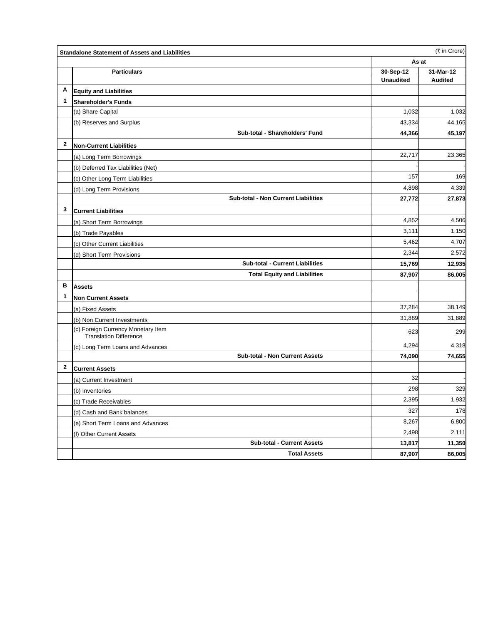|              | <b>Standalone Statement of Assets and Liabilities</b>               | (₹ in Crore)     |                |  |
|--------------|---------------------------------------------------------------------|------------------|----------------|--|
|              |                                                                     | As at            |                |  |
|              | <b>Particulars</b>                                                  | 30-Sep-12        | 31-Mar-12      |  |
|              |                                                                     | <b>Unaudited</b> | <b>Audited</b> |  |
| A            | <b>Equity and Liabilities</b>                                       |                  |                |  |
| 1            | <b>Shareholder's Funds</b>                                          |                  |                |  |
|              | (a) Share Capital                                                   | 1,032            | 1,032          |  |
|              | (b) Reserves and Surplus                                            | 43,334           | 44,165         |  |
|              | Sub-total - Shareholders' Fund                                      | 44,366           | 45,197         |  |
| 2            | <b>Non-Current Liabilities</b>                                      |                  |                |  |
|              | (a) Long Term Borrowings                                            | 22,717           | 23,365         |  |
|              | (b) Deferred Tax Liabilities (Net)                                  |                  |                |  |
|              | (c) Other Long Term Liabilities                                     | 157              | 169            |  |
|              | (d) Long Term Provisions                                            | 4,898            | 4,339          |  |
|              | Sub-total - Non Current Liabilities                                 | 27,772           | 27,873         |  |
| 3            | <b>Current Liabilities</b>                                          |                  |                |  |
|              | (a) Short Term Borrowings                                           | 4,852            | 4,506          |  |
|              | (b) Trade Payables                                                  | 3,111            | 1,150          |  |
|              | (c) Other Current Liabilities                                       | 5,462            | 4,707          |  |
|              | (d) Short Term Provisions                                           | 2,344            | 2,572          |  |
|              | <b>Sub-total - Current Liabilities</b>                              | 15,769           | 12,935         |  |
|              | <b>Total Equity and Liabilities</b>                                 | 87,907           | 86,005         |  |
| B            | <b>Assets</b>                                                       |                  |                |  |
| 1            | <b>Non Current Assets</b>                                           |                  |                |  |
|              | (a) Fixed Assets                                                    | 37,284           | 38,149         |  |
|              | (b) Non Current Investments                                         | 31,889           | 31,889         |  |
|              | (c) Foreign Currency Monetary Item<br><b>Translation Difference</b> | 623              | 299            |  |
|              | (d) Long Term Loans and Advances                                    | 4,294            | 4,318          |  |
|              | <b>Sub-total - Non Current Assets</b>                               | 74,090           | 74,655         |  |
| $\mathbf{2}$ | <b>Current Assets</b>                                               |                  |                |  |
|              | (a) Current Investment                                              | 32               |                |  |
|              | (b) Inventories                                                     | 298              | 329            |  |
|              | (c) Trade Receivables                                               | 2,395            | 1,932          |  |
|              | (d) Cash and Bank balances                                          | 327              | 178            |  |
|              | (e) Short Term Loans and Advances                                   | 8,267            | 6,800          |  |
|              | (f) Other Current Assets                                            | 2,498            | 2,111          |  |
|              | <b>Sub-total - Current Assets</b>                                   | 13,817           | 11,350         |  |
|              | <b>Total Assets</b>                                                 | 87,907           | 86,005         |  |